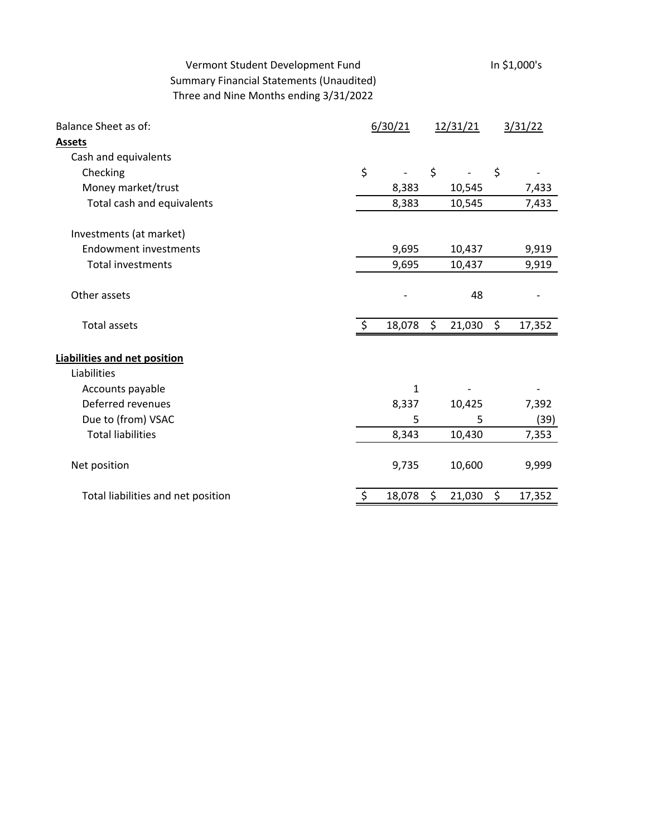# Vermont Student Development Fund<br>In \$1,000's Summary Financial Statements (Unaudited) Three and Nine Months ending 3/31/2022

| Cash and equivalents<br>\$<br>\$<br>\$<br>Checking<br>7,433<br>Money market/trust<br>8,383<br>10,545<br>7,433<br>Total cash and equivalents<br>8,383<br>10,545<br>Investments (at market)<br><b>Endowment investments</b><br>9,695<br>10,437<br>9,919<br><b>Total investments</b><br>9,695<br>9,919<br>10,437<br>Other assets<br>48<br>$\zeta$<br>\$<br>\$<br><b>Total assets</b><br>18,078<br>21,030<br>17,352<br>Liabilities<br>Accounts payable<br>1<br>Deferred revenues<br>8,337<br>7,392<br>10,425<br>Due to (from) VSAC<br>5<br>5<br>(39)<br><b>Total liabilities</b><br>8,343<br>7,353<br>10,430<br>Net position<br>9,735<br>10,600<br>9,999<br>\$<br>\$<br>\$<br>18,078<br>17,352<br>Total liabilities and net position<br>21,030 | <b>Balance Sheet as of:</b><br><b>Assets</b> | 6/30/21 |  | 12/31/21 |  | 3/31/22 |  |
|--------------------------------------------------------------------------------------------------------------------------------------------------------------------------------------------------------------------------------------------------------------------------------------------------------------------------------------------------------------------------------------------------------------------------------------------------------------------------------------------------------------------------------------------------------------------------------------------------------------------------------------------------------------------------------------------------------------------------------------------|----------------------------------------------|---------|--|----------|--|---------|--|
|                                                                                                                                                                                                                                                                                                                                                                                                                                                                                                                                                                                                                                                                                                                                            |                                              |         |  |          |  |         |  |
|                                                                                                                                                                                                                                                                                                                                                                                                                                                                                                                                                                                                                                                                                                                                            |                                              |         |  |          |  |         |  |
|                                                                                                                                                                                                                                                                                                                                                                                                                                                                                                                                                                                                                                                                                                                                            |                                              |         |  |          |  |         |  |
|                                                                                                                                                                                                                                                                                                                                                                                                                                                                                                                                                                                                                                                                                                                                            |                                              |         |  |          |  |         |  |
|                                                                                                                                                                                                                                                                                                                                                                                                                                                                                                                                                                                                                                                                                                                                            |                                              |         |  |          |  |         |  |
|                                                                                                                                                                                                                                                                                                                                                                                                                                                                                                                                                                                                                                                                                                                                            |                                              |         |  |          |  |         |  |
|                                                                                                                                                                                                                                                                                                                                                                                                                                                                                                                                                                                                                                                                                                                                            |                                              |         |  |          |  |         |  |
|                                                                                                                                                                                                                                                                                                                                                                                                                                                                                                                                                                                                                                                                                                                                            |                                              |         |  |          |  |         |  |
|                                                                                                                                                                                                                                                                                                                                                                                                                                                                                                                                                                                                                                                                                                                                            |                                              |         |  |          |  |         |  |
|                                                                                                                                                                                                                                                                                                                                                                                                                                                                                                                                                                                                                                                                                                                                            | Liabilities and net position                 |         |  |          |  |         |  |
|                                                                                                                                                                                                                                                                                                                                                                                                                                                                                                                                                                                                                                                                                                                                            |                                              |         |  |          |  |         |  |
|                                                                                                                                                                                                                                                                                                                                                                                                                                                                                                                                                                                                                                                                                                                                            |                                              |         |  |          |  |         |  |
|                                                                                                                                                                                                                                                                                                                                                                                                                                                                                                                                                                                                                                                                                                                                            |                                              |         |  |          |  |         |  |
|                                                                                                                                                                                                                                                                                                                                                                                                                                                                                                                                                                                                                                                                                                                                            |                                              |         |  |          |  |         |  |
|                                                                                                                                                                                                                                                                                                                                                                                                                                                                                                                                                                                                                                                                                                                                            |                                              |         |  |          |  |         |  |
|                                                                                                                                                                                                                                                                                                                                                                                                                                                                                                                                                                                                                                                                                                                                            |                                              |         |  |          |  |         |  |
|                                                                                                                                                                                                                                                                                                                                                                                                                                                                                                                                                                                                                                                                                                                                            |                                              |         |  |          |  |         |  |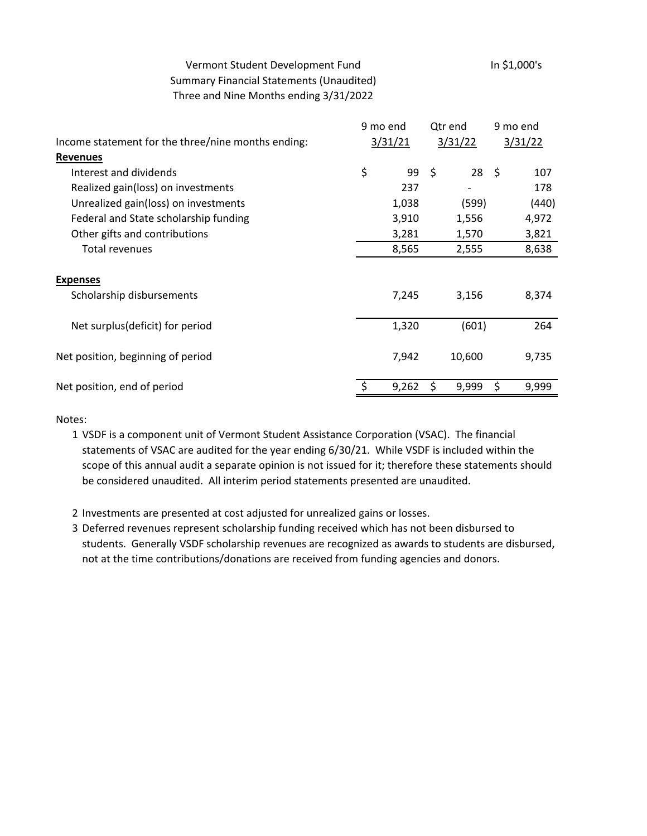## Vermont Student Development Fund<br>In \$1,000's Summary Financial Statements (Unaudited) Three and Nine Months ending 3/31/2022

|                                                    | 9 mo end |       | Qtr end |              | 9 mo end |       |
|----------------------------------------------------|----------|-------|---------|--------------|----------|-------|
| Income statement for the three/nine months ending: | 3/31/21  |       | 3/31/22 |              | 3/31/22  |       |
| <b>Revenues</b>                                    |          |       |         |              |          |       |
| Interest and dividends                             | \$       | 99    | -\$     | $28 \quad $$ |          | 107   |
| Realized gain(loss) on investments                 |          | 237   |         |              |          | 178   |
| Unrealized gain(loss) on investments               |          | 1,038 |         | (599)        |          | (440) |
| Federal and State scholarship funding              |          | 3,910 |         | 1,556        |          | 4,972 |
| Other gifts and contributions                      |          | 3,281 |         | 1,570        |          | 3,821 |
| <b>Total revenues</b>                              |          | 8,565 |         | 2,555        |          | 8,638 |
| <b>Expenses</b>                                    |          |       |         |              |          |       |
| Scholarship disbursements                          |          | 7,245 |         | 3,156        |          | 8,374 |
| Net surplus(deficit) for period                    |          | 1,320 |         | (601)        |          | 264   |
| Net position, beginning of period                  |          | 7,942 |         | 10,600       |          | 9,735 |
| Net position, end of period                        |          | 9,262 | \$      | 9,999        | \$       | 9,999 |

Notes:

- 1 VSDF is a component unit of Vermont Student Assistance Corporation (VSAC). The financial statements of VSAC are audited for the year ending 6/30/21. While VSDF is included within the scope of this annual audit a separate opinion is not issued for it; therefore these statements should be considered unaudited. All interim period statements presented are unaudited.
- 2 Investments are presented at cost adjusted for unrealized gains or losses.
- 3 Deferred revenues represent scholarship funding received which has not been disbursed to students. Generally VSDF scholarship revenues are recognized as awards to students are disbursed, not at the time contributions/donations are received from funding agencies and donors.